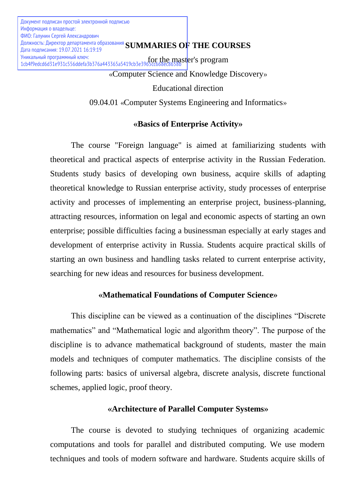Educational direction

09.04.01 «Computer Systems Engineering and Informatics»

# **«Basics of Enterprise Activity»**

The course "Foreign language" is aimed at familiarizing students with theoretical and practical aspects of enterprise activity in the Russian Federation. Students study basics of developing own business, acquire skills of adapting theoretical knowledge to Russian enterprise activity, study processes of enterprise activity and processes of implementing an enterprise project, business-planning, attracting resources, information on legal and economic aspects of starting an own enterprise; possible difficulties facing a businessman especially at early stages and development of enterprise activity in Russia. Students acquire practical skills of starting an own business and handling tasks related to current enterprise activity, searching for new ideas and resources for business development.

# **«Mathematical Foundations of Computer Science»**

This discipline can be viewed as a continuation of the disciplines "Discrete mathematics" and "Mathematical logic and algorithm theory". The purpose of the discipline is to advance mathematical background of students, master the main models and techniques of computer mathematics. The discipline consists of the following parts: basics of universal algebra, discrete analysis, discrete functional schemes, applied logic, proof theory.

## **«Architecture of Parallel Computer Systems»**

The course is devoted to studying techniques of organizing academic computations and tools for parallel and distributed computing. We use modern techniques and tools of modern software and hardware. Students acquire skills of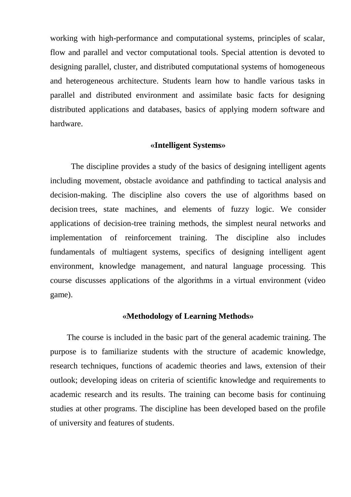working with high-performance and computational systems, principles of scalar, flow and parallel and vector computational tools. Special attention is devoted to designing parallel, cluster, and distributed computational systems of homogeneous and heterogeneous architecture. Students learn how to handle various tasks in parallel and distributed environment and assimilate basic facts for designing distributed applications and databases, basics of applying modern software and hardware.

#### **«Intelligent Systems»**

The discipline provides a study of the basics of designing intelligent agents including movement, obstacle avoidance and pathfinding to tactical analysis and decision-making. The discipline also covers the use of algorithms based on decision trees, state machines, and elements of fuzzy logic. We consider applications of decision-tree training methods, the simplest neural networks and implementation of reinforcement training. The discipline also includes fundamentals of multiagent systems, specifics of designing intelligent agent environment, knowledge management, and natural language processing. This course discusses applications of the algorithms in a virtual environment (video game).

#### **«Methodology of Learning Methods»**

The course is included in the basic part of the general academic training. The purpose is to familiarize students with the structure of academic knowledge, research techniques, functions of academic theories and laws, extension of their outlook; developing ideas on criteria of scientific knowledge and requirements to academic research and its results. The training can become basis for continuing studies at other programs. The discipline has been developed based on the profile of university and features of students.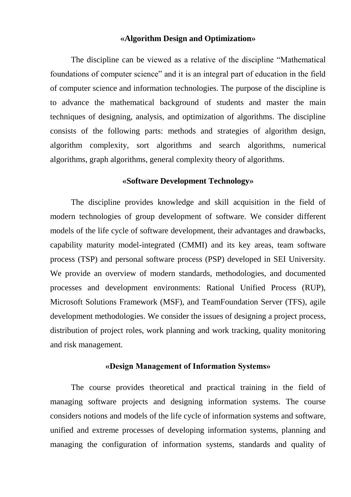## **«Algorithm Design and Optimization»**

The discipline can be viewed as a relative of the discipline "Mathematical foundations of computer science" and it is an integral part of education in the field of computer science and information technologies. The purpose of the discipline is to advance the mathematical background of students and master the main techniques of designing, analysis, and optimization of algorithms. The discipline consists of the following parts: methods and strategies of algorithm design, algorithm complexity, sort algorithms and search algorithms, numerical algorithms, graph algorithms, general complexity theory of algorithms.

# **«Software Development Technology»**

The discipline provides knowledge and skill acquisition in the field of modern technologies of group development of software. We consider different models of the life cycle of software development, their advantages and drawbacks, capability maturity model-integrated (CMMI) and its key areas, team software process (TSP) and personal software process (PSP) developed in SEI University. We provide an overview of modern standards, methodologies, and documented processes and development environments: Rational Unified Process (RUP), Microsoft Solutions Framework (MSF), and TeamFoundation Server (TFS), agile development methodologies. We consider the issues of designing a project process, distribution of project roles, work planning and work tracking, quality monitoring and risk management.

#### **«Design Management of Information Systems»**

The course provides theoretical and practical training in the field of managing software projects and designing information systems. The course considers notions and models of the life cycle of information systems and software, unified and extreme processes of developing information systems, planning and managing the configuration of information systems, standards and quality of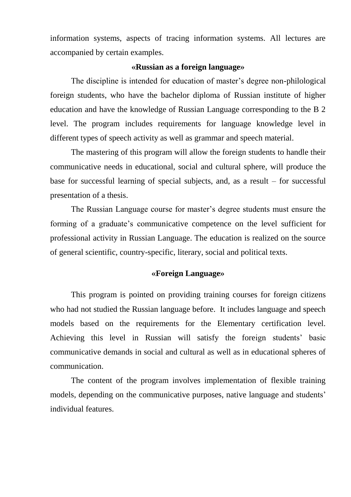information systems, aspects of tracing information systems. All lectures are accompanied by certain examples.

## **«Russian as a foreign language»**

The discipline is intended for education of master's degree non-philological foreign students, who have the bachelor diploma of Russian institute of higher education and have the knowledge of Russian Language corresponding to the B 2 level. The program includes requirements for language knowledge level in different types of speech activity as well as grammar and speech material.

The mastering of this program will allow the foreign students to handle their communicative needs in educational, social and cultural sphere, will produce the base for successful learning of special subjects, and, as a result – for successful presentation of a thesis.

The Russian Language course for master's degree students must ensure the forming of a graduate's communicative competence on the level sufficient for professional activity in Russian Language. The education is realized on the source of general scientific, country-specific, literary, social and political texts.

#### **«Foreign Language»**

This program is pointed on providing training courses for foreign citizens who had not studied the Russian language before. It includes language and speech models based on the requirements for the Elementary certification level. Achieving this level in Russian will satisfy the foreign students' basic communicative demands in social and cultural as well as in educational spheres of communication.

The content of the program involves implementation of flexible training models, depending on the communicative purposes, native language and students' individual features.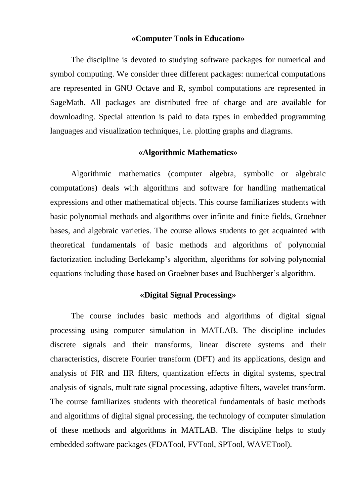#### **«Computer Tools in Education»**

The discipline is devoted to studying software packages for numerical and symbol computing. We consider three different packages: numerical computations are represented in GNU Octave and R, symbol computations are represented in SageMath. All packages are distributed free of charge and are available for downloading. Special attention is paid to data types in embedded programming languages and visualization techniques, i.e. plotting graphs and diagrams.

## **«Algorithmic Mathematics»**

Algorithmic mathematics (computer algebra, symbolic or algebraic computations) deals with algorithms and software for handling mathematical expressions and other mathematical objects. This course familiarizes students with basic polynomial methods and algorithms over infinite and finite fields, Groebner bases, and algebraic varieties. The course allows students to get acquainted with theoretical fundamentals of basic methods and algorithms of polynomial factorization including Berlekamp's algorithm, algorithms for solving polynomial equations including those based on Groebner bases and Buchberger's algorithm.

## **«Digital Signal Processing»**

The course includes basic methods and algorithms of digital signal processing using computer simulation in MATLAB. The discipline includes discrete signals and their transforms, linear discrete systems and their characteristics, discrete Fourier transform (DFT) and its applications, design and analysis of FIR and IIR filters, quantization effects in digital systems, spectral analysis of signals, multirate signal processing, adaptive filters, wavelet transform. The course familiarizes students with theoretical fundamentals of basic methods and algorithms of digital signal processing, the technology of computer simulation of these methods and algorithms in MATLAB. The discipline helps to study embedded software packages (FDATool, FVTool, SPTool, WAVETool).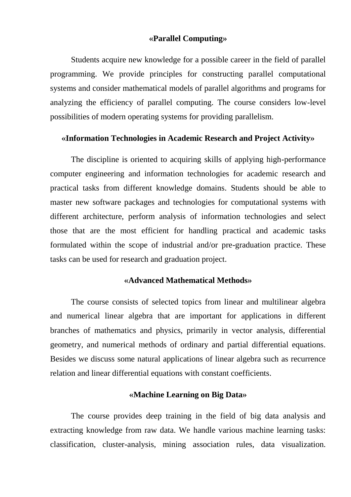## **«Parallel Computing»**

Students acquire new knowledge for a possible career in the field of parallel programming. We provide principles for constructing parallel computational systems and consider mathematical models of parallel algorithms and programs for analyzing the efficiency of parallel computing. The course considers low-level possibilities of modern operating systems for providing parallelism.

## **«Information Technologies in Academic Research and Project Activity»**

The discipline is oriented to acquiring skills of applying high-performance computer engineering and information technologies for academic research and practical tasks from different knowledge domains. Students should be able to master new software packages and technologies for computational systems with different architecture, perform analysis of information technologies and select those that are the most efficient for handling practical and academic tasks formulated within the scope of industrial and/or pre-graduation practice. These tasks can be used for research and graduation project.

## **«Advanced Mathematical Methods»**

The course consists of selected topics from linear and multilinear algebra and numerical linear algebra that are important for applications in different branches of mathematics and physics, primarily in vector analysis, differential geometry, and numerical methods of ordinary and partial differential equations. Besides we discuss some natural applications of linear algebra such as recurrence relation and linear differential equations with constant coefficients.

## **«Machine Learning on Big Data»**

The course provides deep training in the field of big data analysis and extracting knowledge from raw data. We handle various machine learning tasks: classification, cluster-analysis, mining association rules, data visualization.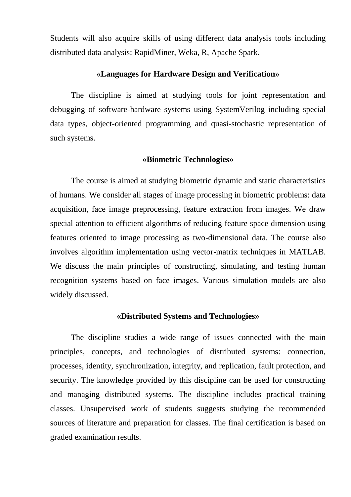Students will also acquire skills of using different data analysis tools including distributed data analysis: RapidMiner, Weka, R, Apache Spark.

## **«Languages for Hardware Design and Verification»**

The discipline is aimed at studying tools for joint representation and debugging of software-hardware systems using SystemVerilog including special data types, object-oriented programming and quasi-stochastic representation of such systems.

#### **«Biometric Technologies»**

The course is aimed at studying biometric dynamic and static characteristics of humans. We consider all stages of image processing in biometric problems: data acquisition, face image preprocessing, feature extraction from images. We draw special attention to efficient algorithms of reducing feature space dimension using features oriented to image processing as two-dimensional data. The course also involves algorithm implementation using vector-matrix techniques in MATLAB. We discuss the main principles of constructing, simulating, and testing human recognition systems based on face images. Various simulation models are also widely discussed.

### **«Distributed Systems and Technologies»**

The discipline studies a wide range of issues connected with the main principles, concepts, and technologies of distributed systems: connection, processes, identity, synchronization, integrity, and replication, fault protection, and security. The knowledge provided by this discipline can be used for constructing and managing distributed systems. The discipline includes practical training classes. Unsupervised work of students suggests studying the recommended sources of literature and preparation for classes. The final certification is based on graded examination results.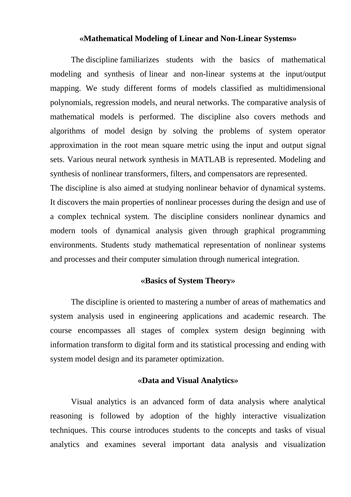#### **«Mathematical Modeling of Linear and Non-Linear Systems»**

The discipline familiarizes students with the basics of mathematical modeling and synthesis of linear and non-linear systems at the input/output mapping. We study different forms of models classified as multidimensional polynomials, regression models, and neural networks. The comparative analysis of mathematical models is performed. The discipline also covers methods and algorithms of model design by solving the problems of system operator approximation in the root mean square metric using the input and output signal sets. Various neural network synthesis in MATLAB is represented. Modeling and synthesis of nonlinear transformers, filters, and compensators are represented.

The discipline is also aimed at studying nonlinear behavior of dynamical systems. It discovers the main properties of nonlinear processes during the design and use of a complex technical system. The discipline considers nonlinear dynamics and modern tools of dynamical analysis given through graphical programming environments. Students study mathematical representation of nonlinear systems and processes and their computer simulation through numerical integration.

#### **«Basics of System Theory»**

The discipline is oriented to mastering a number of areas of mathematics and system analysis used in engineering applications and academic research. The course encompasses all stages of complex system design beginning with information transform to digital form and its statistical processing and ending with system model design and its parameter optimization.

#### **«Data and Visual Analytics»**

Visual analytics is an advanced form of data analysis where analytical reasoning is followed by adoption of the highly interactive visualization techniques. This course introduces students to the concepts and tasks of visual analytics and examines several important data analysis and visualization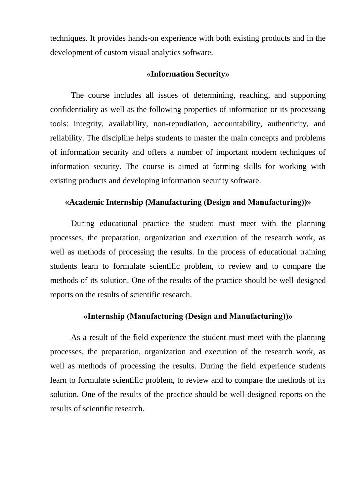techniques. It provides hands-on experience with both existing products and in the development of custom visual analytics software.

#### **«Information Security»**

The course includes all issues of determining, reaching, and supporting confidentiality as well as the following properties of information or its processing tools: integrity, availability, non-repudiation, accountability, authenticity, and reliability. The discipline helps students to master the main concepts and problems of information security and offers a number of important modern techniques of information security. The course is aimed at forming skills for working with existing products and developing information security software.

## **«Academic Internship (Manufacturing (Design and Manufacturing))»**

During educational practice the student must meet with the planning processes, the preparation, organization and execution of the research work, as well as methods of processing the results. In the process of educational training students learn to formulate scientific problem, to review and to compare the methods of its solution. One of the results of the practice should be well-designed reports on the results of scientific research.

# **«Internship (Manufacturing (Design and Manufacturing))»**

As a result of the field experience the student must meet with the planning processes, the preparation, organization and execution of the research work, as well as methods of processing the results. During the field experience students learn to formulate scientific problem, to review and to compare the methods of its solution. One of the results of the practice should be well-designed reports on the results of scientific research.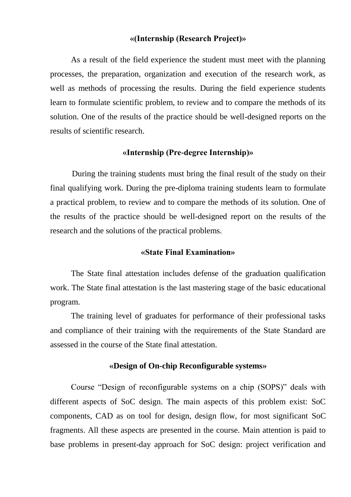## **«(Internship (Research Project)»**

As a result of the field experience the student must meet with the planning processes, the preparation, organization and execution of the research work, as well as methods of processing the results. During the field experience students learn to formulate scientific problem, to review and to compare the methods of its solution. One of the results of the practice should be well-designed reports on the results of scientific research.

## **«Internship (Pre-degree Internship)»**

During the training students must bring the final result of the study on their final qualifying work. During the pre-diploma training students learn to formulate a practical problem, to review and to compare the methods of its solution. One of the results of the practice should be well-designed report on the results of the research and the solutions of the practical problems.

## **«State Final Examination»**

The State final attestation includes defense of the graduation qualification work. The State final attestation is the last mastering stage of the basic educational program.

The training level of graduates for performance of their professional tasks and compliance of their training with the requirements of the State Standard are assessed in the course of the State final attestation.

#### **«Design of On-chip Reconfigurable systems»**

Course "Design of reconfigurable systems on a chip (SOPS)" deals with different aspects of SoC design. The main aspects of this problem exist: SoC components, CAD as on tool for design, design flow, for most significant SoC fragments. All these aspects are presented in the course. Main attention is paid to base problems in present-day approach for SoC design: project verification and